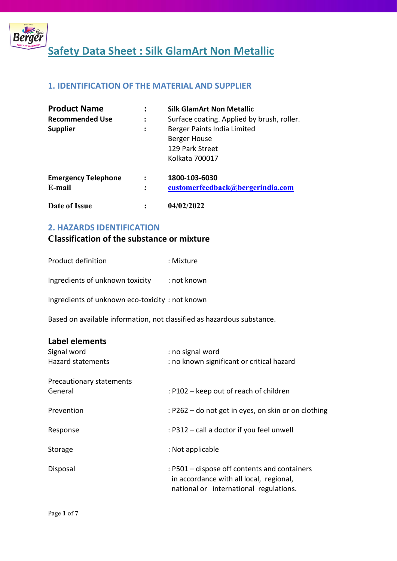

# 1. IDENTIFICATION OF THE MATERIAL AND SUPPLIER

| <b>Product Name</b>        |                      | <b>Silk GlamArt Non Metallic</b>           |
|----------------------------|----------------------|--------------------------------------------|
| <b>Recommended Use</b>     | ፡                    | Surface coating. Applied by brush, roller. |
| <b>Supplier</b>            | $\ddot{\phantom{a}}$ | Berger Paints India Limited                |
|                            |                      | Berger House                               |
|                            |                      | 129 Park Street                            |
|                            |                      | Kolkata 700017                             |
| <b>Emergency Telephone</b> |                      | 1800-103-6030                              |
| E-mail                     | $\ddot{\cdot}$       | customerfeedback@bergerindia.com           |
| Date of Issue              |                      | 04/02/2022                                 |

# 2. HAZARDS IDENTIFICATION

# Classification of the substance or mixture

| Product definition | : Mixture |
|--------------------|-----------|
|--------------------|-----------|

Ingredients of unknown toxicity : not known

Ingredients of unknown eco-toxicity : not known

Based on available information, not classified as hazardous substance.

| Label elements           |                                                                                                                                   |
|--------------------------|-----------------------------------------------------------------------------------------------------------------------------------|
| Signal word              | : no signal word                                                                                                                  |
| <b>Hazard statements</b> | : no known significant or critical hazard                                                                                         |
| Precautionary statements |                                                                                                                                   |
| General                  | : P102 – keep out of reach of children                                                                                            |
| Prevention               | : P262 – do not get in eyes, on skin or on clothing                                                                               |
| Response                 | : P312 – call a doctor if you feel unwell                                                                                         |
| Storage                  | : Not applicable                                                                                                                  |
| Disposal                 | : P501 – dispose off contents and containers<br>in accordance with all local, regional,<br>national or international regulations. |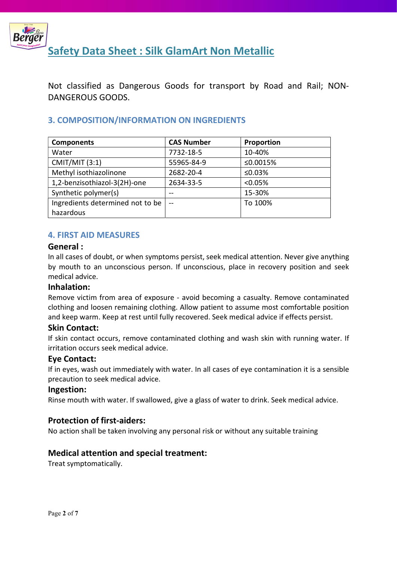

Safety Data Sheet : Silk GlamArt Non Metallic

Not classified as Dangerous Goods for transport by Road and Rail; NON-DANGEROUS GOODS.

# 3. COMPOSITION/INFORMATION ON INGREDIENTS

| <b>Components</b>                | <b>CAS Number</b> | Proportion |
|----------------------------------|-------------------|------------|
| Water                            | 7732-18-5         | 10-40%     |
| <b>CMIT/MIT (3:1)</b>            | 55965-84-9        | ≤0.0015%   |
| Methyl isothiazolinone           | 2682-20-4         | ≤0.03%     |
| 1,2-benzisothiazol-3(2H)-one     | 2634-33-5         | $< 0.05\%$ |
| Synthetic polymer(s)             | --                | 15-30%     |
| Ingredients determined not to be | $-$               | To 100%    |
| hazardous                        |                   |            |

# 4. FIRST AID MEASURES

#### General :

In all cases of doubt, or when symptoms persist, seek medical attention. Never give anything by mouth to an unconscious person. If unconscious, place in recovery position and seek medical advice.

#### Inhalation:

Remove victim from area of exposure - avoid becoming a casualty. Remove contaminated clothing and loosen remaining clothing. Allow patient to assume most comfortable position and keep warm. Keep at rest until fully recovered. Seek medical advice if effects persist.

#### Skin Contact:

If skin contact occurs, remove contaminated clothing and wash skin with running water. If irritation occurs seek medical advice.

#### Eye Contact:

If in eyes, wash out immediately with water. In all cases of eye contamination it is a sensible precaution to seek medical advice.

#### Ingestion:

Rinse mouth with water. If swallowed, give a glass of water to drink. Seek medical advice.

#### Protection of first-aiders:

No action shall be taken involving any personal risk or without any suitable training

# Medical attention and special treatment:

Treat symptomatically.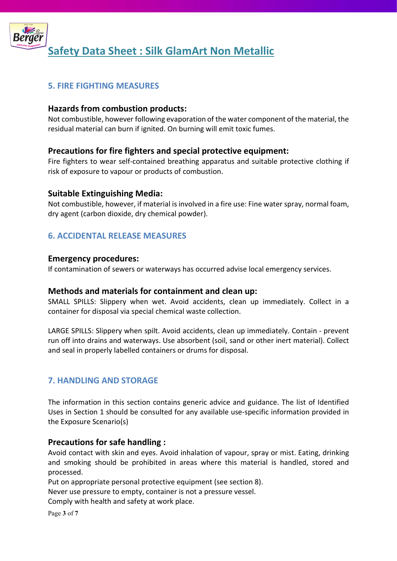

# 5. FIRE FIGHTING MEASURES

#### Hazards from combustion products:

Not combustible, however following evaporation of the water component of the material, the residual material can burn if ignited. On burning will emit toxic fumes.

## Precautions for fire fighters and special protective equipment:

Fire fighters to wear self-contained breathing apparatus and suitable protective clothing if risk of exposure to vapour or products of combustion.

#### Suitable Extinguishing Media:

Not combustible, however, if material is involved in a fire use: Fine water spray, normal foam, dry agent (carbon dioxide, dry chemical powder).

## 6. ACCIDENTAL RELEASE MEASURES

#### Emergency procedures:

If contamination of sewers or waterways has occurred advise local emergency services.

#### Methods and materials for containment and clean up:

SMALL SPILLS: Slippery when wet. Avoid accidents, clean up immediately. Collect in a container for disposal via special chemical waste collection.

LARGE SPILLS: Slippery when spilt. Avoid accidents, clean up immediately. Contain - prevent run off into drains and waterways. Use absorbent (soil, sand or other inert material). Collect and seal in properly labelled containers or drums for disposal.

# 7. HANDLING AND STORAGE

The information in this section contains generic advice and guidance. The list of Identified Uses in Section 1 should be consulted for any available use-specific information provided in the Exposure Scenario(s)

#### Precautions for safe handling :

Avoid contact with skin and eyes. Avoid inhalation of vapour, spray or mist. Eating, drinking and smoking should be prohibited in areas where this material is handled, stored and processed.

Put on appropriate personal protective equipment (see section 8).

Never use pressure to empty, container is not a pressure vessel.

Comply with health and safety at work place.

Page 3 of 7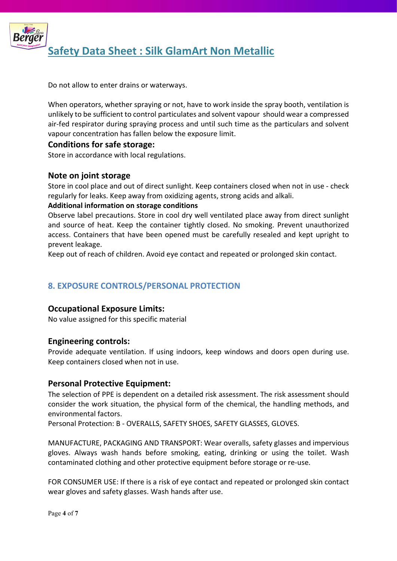

Do not allow to enter drains or waterways.

When operators, whether spraying or not, have to work inside the spray booth, ventilation is unlikely to be sufficient to control particulates and solvent vapour should wear a compressed air-fed respirator during spraying process and until such time as the particulars and solvent vapour concentration has fallen below the exposure limit.

#### Conditions for safe storage:

Store in accordance with local regulations.

#### Note on joint storage

Store in cool place and out of direct sunlight. Keep containers closed when not in use - check regularly for leaks. Keep away from oxidizing agents, strong acids and alkali.

#### Additional information on storage conditions

Observe label precautions. Store in cool dry well ventilated place away from direct sunlight and source of heat. Keep the container tightly closed. No smoking. Prevent unauthorized access. Containers that have been opened must be carefully resealed and kept upright to prevent leakage.

Keep out of reach of children. Avoid eye contact and repeated or prolonged skin contact.

# 8. EXPOSURE CONTROLS/PERSONAL PROTECTION

#### Occupational Exposure Limits:

No value assigned for this specific material

#### Engineering controls:

Provide adequate ventilation. If using indoors, keep windows and doors open during use. Keep containers closed when not in use.

#### Personal Protective Equipment:

The selection of PPE is dependent on a detailed risk assessment. The risk assessment should consider the work situation, the physical form of the chemical, the handling methods, and environmental factors.

Personal Protection: B - OVERALLS, SAFETY SHOES, SAFETY GLASSES, GLOVES.

MANUFACTURE, PACKAGING AND TRANSPORT: Wear overalls, safety glasses and impervious gloves. Always wash hands before smoking, eating, drinking or using the toilet. Wash contaminated clothing and other protective equipment before storage or re-use.

FOR CONSUMER USE: If there is a risk of eye contact and repeated or prolonged skin contact wear gloves and safety glasses. Wash hands after use.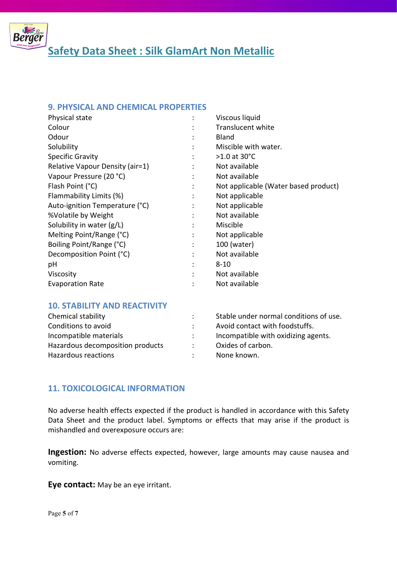

#### 9. PHYSICAL AND CHEMICAL PROPERTIES

| Physical state                  |                | Viscous liquid                       |
|---------------------------------|----------------|--------------------------------------|
| Colour                          |                | <b>Translucent white</b>             |
| Odour                           |                | <b>Bland</b>                         |
| Solubility                      | $\ddot{\cdot}$ | Miscible with water.                 |
| <b>Specific Gravity</b>         |                | $>1.0$ at 30 $^{\circ}$ C            |
| Relative Vapour Density (air=1) | ٠              | Not available                        |
| Vapour Pressure (20 °C)         |                | Not available                        |
| Flash Point (°C)                |                | Not applicable (Water based product) |
| Flammability Limits (%)         | ÷              | Not applicable                       |
| Auto-ignition Temperature (°C)  | $\ddot{\cdot}$ | Not applicable                       |
| %Volatile by Weight             | $\bullet$      | Not available                        |
| Solubility in water (g/L)       | $\ddot{\cdot}$ | Miscible                             |
| Melting Point/Range (°C)        | $\ddot{\cdot}$ | Not applicable                       |
| Boiling Point/Range (°C)        | $\ddot{\cdot}$ | 100 (water)                          |
| Decomposition Point (°C)        | ٠              | Not available                        |
| pH                              | ٠              | $8 - 10$                             |
| Viscosity                       |                | Not available                        |
| <b>Evaporation Rate</b>         |                | Not available                        |

# 10. STABILITY AND REACTIVITY

| Chemical stability               | Stable under normal conditions of use. |
|----------------------------------|----------------------------------------|
| Conditions to avoid              | Avoid contact with foodstuffs.         |
| Incompatible materials           | Incompatible with oxidizing agents.    |
| Hazardous decomposition products | Oxides of carbon.                      |
| Hazardous reactions              | None known.                            |

# 11. TOXICOLOGICAL INFORMATION

No adverse health effects expected if the product is handled in accordance with this Safety Data Sheet and the product label. Symptoms or effects that may arise if the product is mishandled and overexposure occurs are:

Ingestion: No adverse effects expected, however, large amounts may cause nausea and vomiting.

Eye contact: May be an eye irritant.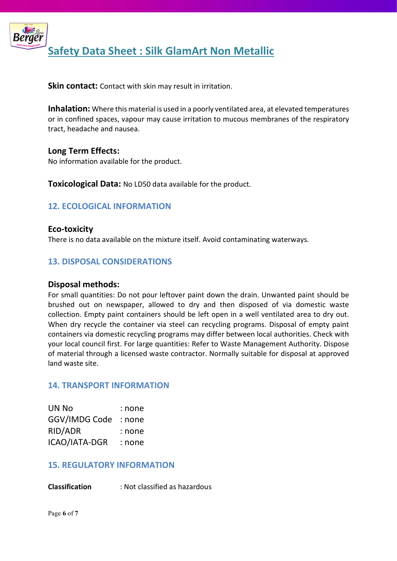

Skin contact: Contact with skin may result in irritation.

Inhalation: Where this material is used in a poorly ventilated area, at elevated temperatures or in confined spaces, vapour may cause irritation to mucous membranes of the respiratory tract, headache and nausea.

## Long Term Effects:

No information available for the product.

**Toxicological Data:** No LD50 data available for the product.

# 12. ECOLOGICAL INFORMATION

Eco-toxicity There is no data available on the mixture itself. Avoid contaminating waterways.

# 13. DISPOSAL CONSIDERATIONS

#### Disposal methods:

For small quantities: Do not pour leftover paint down the drain. Unwanted paint should be brushed out on newspaper, allowed to dry and then disposed of via domestic waste collection. Empty paint containers should be left open in a well ventilated area to dry out. When dry recycle the container via steel can recycling programs. Disposal of empty paint containers via domestic recycling programs may differ between local authorities. Check with your local council first. For large quantities: Refer to Waste Management Authority. Dispose of material through a licensed waste contractor. Normally suitable for disposal at approved land waste site.

### 14. TRANSPORT INFORMATION

| UN No         | : none |
|---------------|--------|
| GGV/IMDG Code | : none |
| RID/ADR       | : none |
| ICAO/IATA-DGR | : none |

#### 15. REGULATORY INFORMATION

Classification : Not classified as hazardous